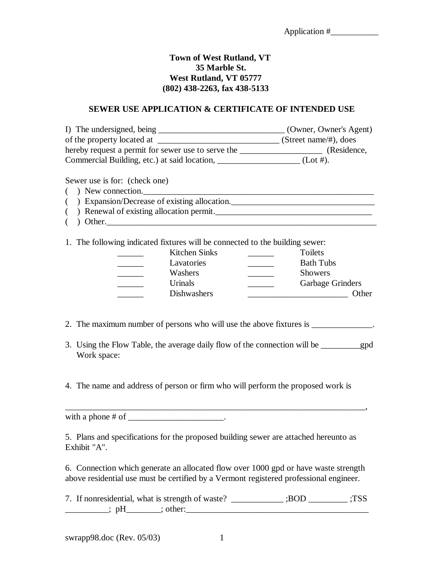$\blacksquare$ 

## **Town of West Rutland, VT 35 Marble St. West Rutland, VT 05777 (802) 438-2263, fax 438-5133**

## **SEWER USE APPLICATION & CERTIFICATE OF INTENDED USE**

| I) The undersigned, being                          | (Owner, Owner's Agent) |
|----------------------------------------------------|------------------------|
| of the property located at                         | (Street name/#), does  |
| hereby request a permit for sewer use to serve the | (Residence,            |
| Commercial Building, etc.) at said location,       | $(Lot \#).$            |

Sewer use is for: (check one)

- $($  ) New connection.
- () Expansion/Decrease of existing allocation.
- () Renewal of existing allocation permit.
- ( ) Other.

1. The following indicated fixtures will be connected to the building sewer:

| Kitchen Sinks      | Toilets                 |
|--------------------|-------------------------|
| Lavatories         | <b>Bath Tubs</b>        |
| Washers            | <b>Showers</b>          |
| Urinals            | <b>Garbage Grinders</b> |
| <b>Dishwashers</b> | Other                   |

- 2. The maximum number of persons who will use the above fixtures is \_\_\_\_\_\_\_\_\_\_\_\_.
- 3. Using the Flow Table, the average daily flow of the connection will be \_\_\_\_\_\_\_\_\_gpd Work space:
- 4. The name and address of person or firm who will perform the proposed work is

with a phone  $\#$  of  $\_\_\_\_\_\_\_\_\_\_\_\_\_\_\_\_\_\_\_\_\_$ .

5. Plans and specifications for the proposed building sewer are attached hereunto as Exhibit "A".

6. Connection which generate an allocated flow over 1000 gpd or have waste strength above residential use must be certified by a Vermont registered professional engineer.

| 7. If nonresidential, what is strength of waste? | :BOD | :TSS |
|--------------------------------------------------|------|------|
| : other:<br>.nH                                  |      |      |